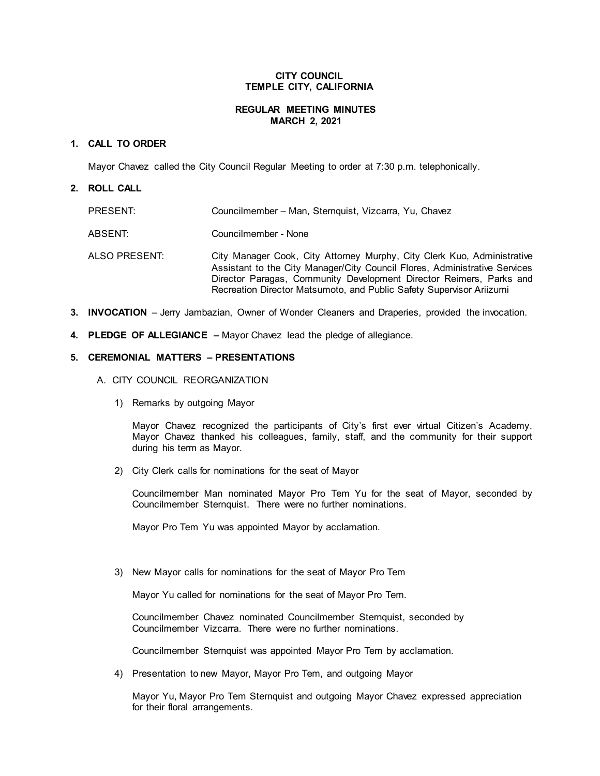### **CITY COUNCIL TEMPLE CITY, CALIFORNIA**

## **REGULAR MEETING MINUTES MARCH 2, 2021**

### **1. CALL TO ORDER**

Mayor Chavez called the City Council Regular Meeting to order at 7:30 p.m. telephonically.

#### **2. ROLL CALL**

| PRESENT:      | Councilmember - Man, Sternquist, Vizcarra, Yu, Chavez                                                                                                                                                                                                                                                |
|---------------|------------------------------------------------------------------------------------------------------------------------------------------------------------------------------------------------------------------------------------------------------------------------------------------------------|
| ABSENT:       | Councilmember - None                                                                                                                                                                                                                                                                                 |
| ALSO PRESENT: | City Manager Cook, City Attorney Murphy, City Clerk Kuo, Administrative<br>Assistant to the City Manager/City Council Flores, Administrative Services<br>Director Paragas, Community Development Director Reimers, Parks and<br>Recreation Director Matsumoto, and Public Safety Supervisor Ariizumi |

- **3. INVOCATION** Jerry Jambazian, Owner of Wonder Cleaners and Draperies, provided the invocation.
- **4. PLEDGE OF ALLEGIANCE –** Mayor Chavez lead the pledge of allegiance.

#### **5. CEREMONIAL MATTERS – PRESENTATIONS**

- A. CITY COUNCIL REORGANIZATION
	- 1) Remarks by outgoing Mayor

Mayor Chavez recognized the participants of City's first ever virtual Citizen's Academy. Mayor Chavez thanked his colleagues, family, staff, and the community for their support during his term as Mayor.

2) City Clerk calls for nominations for the seat of Mayor

Councilmember Man nominated Mayor Pro Tem Yu for the seat of Mayor, seconded by Councilmember Sternquist. There were no further nominations.

Mayor Pro Tem Yu was appointed Mayor by acclamation.

3) New Mayor calls for nominations for the seat of Mayor Pro Tem

Mayor Yu called for nominations for the seat of Mayor Pro Tem.

Councilmember Chavez nominated Councilmember Sternquist, seconded by Councilmember Vizcarra. There were no further nominations.

Councilmember Sternquist was appointed Mayor Pro Tem by acclamation.

4) Presentation to new Mayor, Mayor Pro Tem, and outgoing Mayor

Mayor Yu, Mayor Pro Tem Sternquist and outgoing Mayor Chavez expressed appreciation for their floral arrangements.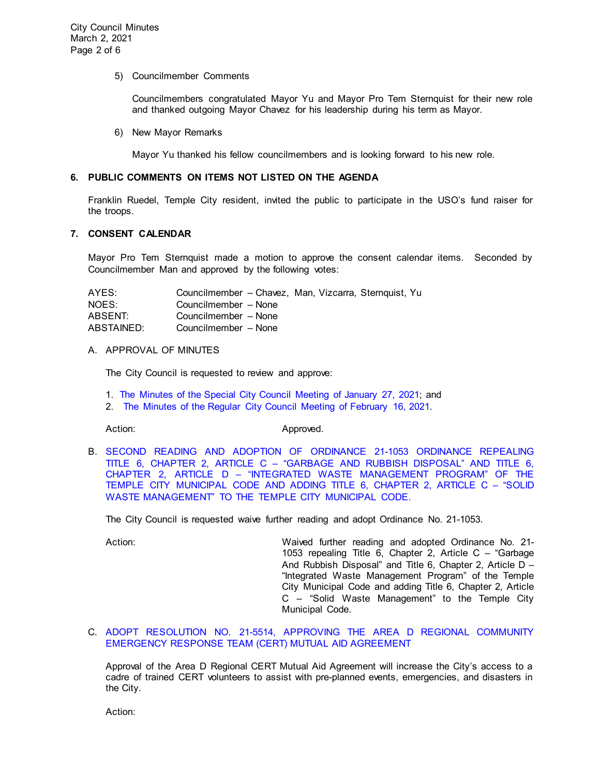#### 5) Councilmember Comments

Councilmembers congratulated Mayor Yu and Mayor Pro Tem Sternquist for their new role and thanked outgoing Mayor Chavez for his leadership during his term as Mayor.

6) New Mayor Remarks

Mayor Yu thanked his fellow councilmembers and is looking forward to his new role.

# **6. PUBLIC COMMENTS ON ITEMS NOT LISTED ON THE AGENDA**

Franklin Ruedel, Temple City resident, invited the public to participate in the USO's fund raiser for the troops.

# **7. CONSENT CALENDAR**

Mayor Pro Tem Sternquist made a motion to approve the consent calendar items. Seconded by Councilmember Man and approved by the following votes:

| AYES:      | Councilmember – Chavez, Man, Vizcarra, Sternquist, Yu |
|------------|-------------------------------------------------------|
| NOES:      | Councilmember - None                                  |
| ABSENT:    | Councilmember - None                                  |
| ABSTAINED: | Councilmember - None                                  |

# A. APPROVAL OF MINUTES

The City Council is requested to review and approve:

- 1. The Minutes of the Special [City Council Meeting of January 27, 2021;](https://ca-templecity.civicplus.com/DocumentCenter/View/15842/02_7A1_CCM---2021-01-27-Sheriff-Monthly) and
- 2. [The Minutes of the Regular City Council Meeting of February 16, 2021.](https://ca-templecity.civicplus.com/DocumentCenter/View/15843/03_7A2_CCM---2021-02-16)

Action: Approved.

B. [SECOND READING AND ADOPTION OF ORDINANCE 21-1053 ORDINANCE REPEALING](https://ca-templecity.civicplus.com/DocumentCenter/View/15844/04_7B_Solid-Waste-Ordinance_Staff-Report_2nd-Reading-and-Adoption-of-Ordinance-21-1053_final-w-Attachment)  TITLE 6, CHAPTER 2, ARTICLE C – ["GARBAGE AND RUBBISH DISPOSAL" AND TITLE 6,](https://ca-templecity.civicplus.com/DocumentCenter/View/15844/04_7B_Solid-Waste-Ordinance_Staff-Report_2nd-Reading-and-Adoption-of-Ordinance-21-1053_final-w-Attachment)  CHAPTER 2, ARTICLE D – ["INTEGRATED WASTE MANAGEMENT PROGRAM" OF THE](https://ca-templecity.civicplus.com/DocumentCenter/View/15844/04_7B_Solid-Waste-Ordinance_Staff-Report_2nd-Reading-and-Adoption-of-Ordinance-21-1053_final-w-Attachment)  [TEMPLE CITY MUNICIPAL CODE AND ADDING TITLE 6, CHAPTER 2, ARTICLE C –](https://ca-templecity.civicplus.com/DocumentCenter/View/15844/04_7B_Solid-Waste-Ordinance_Staff-Report_2nd-Reading-and-Adoption-of-Ordinance-21-1053_final-w-Attachment) "SOLID [WASTE MANAGEMENT" TO THE TEMPLE CITY MUNICIPAL CODE.](https://ca-templecity.civicplus.com/DocumentCenter/View/15844/04_7B_Solid-Waste-Ordinance_Staff-Report_2nd-Reading-and-Adoption-of-Ordinance-21-1053_final-w-Attachment)

The City Council is requested waive further reading and adopt Ordinance No. 21-1053.

Action: Waived further reading and adopted Ordinance No. 21- 1053 repealing Title 6, Chapter 2, Article C – "Garbage And Rubbish Disposal" and Title 6, Chapter 2, Article D – "Integrated Waste Management Program" of the Temple City Municipal Code and adding Title 6, Chapter 2, Article C – "Solid Waste Management" to the Temple City Municipal Code.

C. ADOPT RESOLUTION NO. [21-5514, APPROVING THE AREA D REGIONAL COMMUNITY](https://ca-templecity.civicplus.com/DocumentCenter/View/15845/05_7C_Area-D_Staff-Report_Approval-of-Area-D-Regional-CERT-Mutual-Aid-Agreement_final-w-attachments)  [EMERGENCY RESPONSE TEAM \(CERT\) MUTUAL AID AGREEMENT](https://ca-templecity.civicplus.com/DocumentCenter/View/15845/05_7C_Area-D_Staff-Report_Approval-of-Area-D-Regional-CERT-Mutual-Aid-Agreement_final-w-attachments)

Approval of the Area D Regional CERT Mutual Aid Agreement will increase the City's access to a cadre of trained CERT volunteers to assist with pre-planned events, emergencies, and disasters in the City.

Action: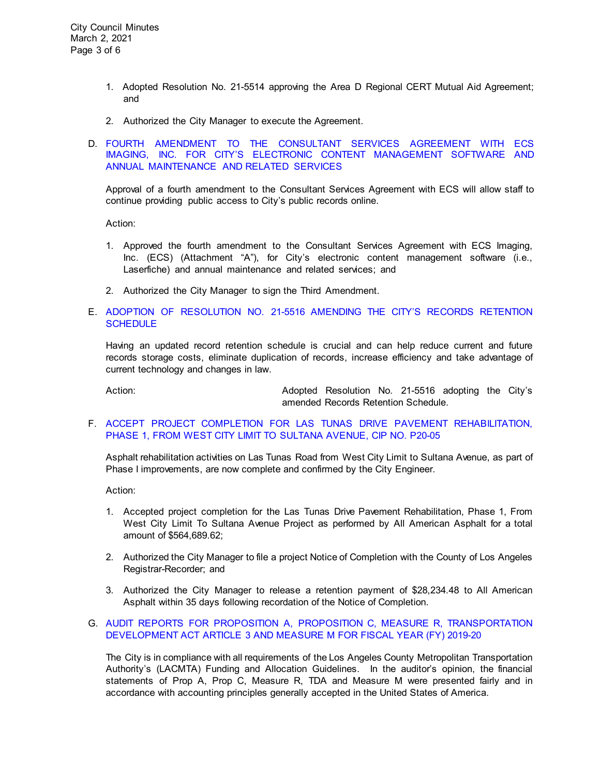- 1. Adopted Resolution No. 21-5514 approving the Area D Regional CERT Mutual Aid Agreement; and
- 2. Authorized the City Manager to execute the Agreement.

# D. [FOURTH AMENDMENT TO THE CONSULTANT SERVICES AGREEMENT WITH ECS](https://ca-templecity.civicplus.com/DocumentCenter/View/15846/06_7D_ECS_Attachment-A_4th-amendment-to-agreement_-annual-software-support-and-related-services_2021-05-01-to-2022-05-01_final-w-attachments)  [IMAGING, INC. FOR CITY'S ELECTRONIC CONTENT MANAGEMENT SOFTWARE AND](https://ca-templecity.civicplus.com/DocumentCenter/View/15846/06_7D_ECS_Attachment-A_4th-amendment-to-agreement_-annual-software-support-and-related-services_2021-05-01-to-2022-05-01_final-w-attachments)  [ANNUAL MAINTENANCE AND RELATED SERVICES](https://ca-templecity.civicplus.com/DocumentCenter/View/15846/06_7D_ECS_Attachment-A_4th-amendment-to-agreement_-annual-software-support-and-related-services_2021-05-01-to-2022-05-01_final-w-attachments)

Approval of a fourth amendment to the Consultant Services Agreement with ECS will allow staff to continue providing public access to City's public records online.

Action:

- 1. Approved the fourth amendment to the Consultant Services Agreement with ECS Imaging, Inc. (ECS) (Attachment "A"), for City's electronic content management software (i.e., Laserfiche) and annual maintenance and related services; and
- 2. Authorized the City Manager to sign the Third Amendment.

# E. [ADOPTION OF RESOLUTION NO. 21-5516 AMENDING THE CITY'S RECORDS RETENTION](https://ca-templecity.civicplus.com/DocumentCenter/View/15848/07_7E_Record-Retention-Schedule-2021_Staff-Report_final-w-Attachment-A)  **[SCHEDULE](https://ca-templecity.civicplus.com/DocumentCenter/View/15848/07_7E_Record-Retention-Schedule-2021_Staff-Report_final-w-Attachment-A)**

Having an updated record retention schedule is crucial and can help reduce current and future records storage costs, eliminate duplication of records, increase efficiency and take advantage of current technology and changes in law.

Action: Adopted Resolution No. 21-5516 adopting the City's amended Records Retention Schedule.

F. [ACCEPT PROJECT COMPLETION FOR LAS TUNAS DRIVE PAVEMENT REHABILITATION,](https://ca-templecity.civicplus.com/DocumentCenter/View/15849/08_7F_Las-Tunas-Dr-Rehab_STAFF-REPORT_Phase-1-completion-P20-05_final-w-attachment)  [PHASE 1, FROM WEST CITY LIMIT TO SULTANA AVENUE, CIP NO. P20-05](https://ca-templecity.civicplus.com/DocumentCenter/View/15849/08_7F_Las-Tunas-Dr-Rehab_STAFF-REPORT_Phase-1-completion-P20-05_final-w-attachment)

Asphalt rehabilitation activities on Las Tunas Road from West City Limit to Sultana Avenue, as part of Phase I improvements, are now complete and confirmed by the City Engineer.

Action:

- 1. Accepted project completion for the Las Tunas Drive Pavement Rehabilitation, Phase 1, From West City Limit To Sultana Avenue Project as performed by All American Asphalt for a total amount of \$564,689.62;
- 2. Authorized the City Manager to file a project Notice of Completion with the County of Los Angeles Registrar-Recorder; and
- 3. Authorized the City Manager to release a retention payment of \$28,234.48 to All American Asphalt within 35 days following recordation of the Notice of Completion.

# G. [AUDIT REPORTS FOR PROPOSITION A, PROPOSITION C, MEASURE R, TRANSPORTATION](https://ca-templecity.civicplus.com/DocumentCenter/View/15839/09_7G_LACMTA_Staff-Report-AUDIT-MTA-PROP-A-C-MEASURE-R--M--TDA-3-2-21-SP-Edits_final-w-attachment)  [DEVELOPMENT ACT ARTICLE 3 AND MEASURE M FOR FISCAL YEAR \(FY\) 2019-20](https://ca-templecity.civicplus.com/DocumentCenter/View/15839/09_7G_LACMTA_Staff-Report-AUDIT-MTA-PROP-A-C-MEASURE-R--M--TDA-3-2-21-SP-Edits_final-w-attachment)

The City is in compliance with all requirements of the Los Angeles County Metropolitan Transportation Authority's (LACMTA) Funding and Allocation Guidelines. In the auditor's opinion, the financial statements of Prop A, Prop C, Measure R, TDA and Measure M were presented fairly and in accordance with accounting principles generally accepted in the United States of America.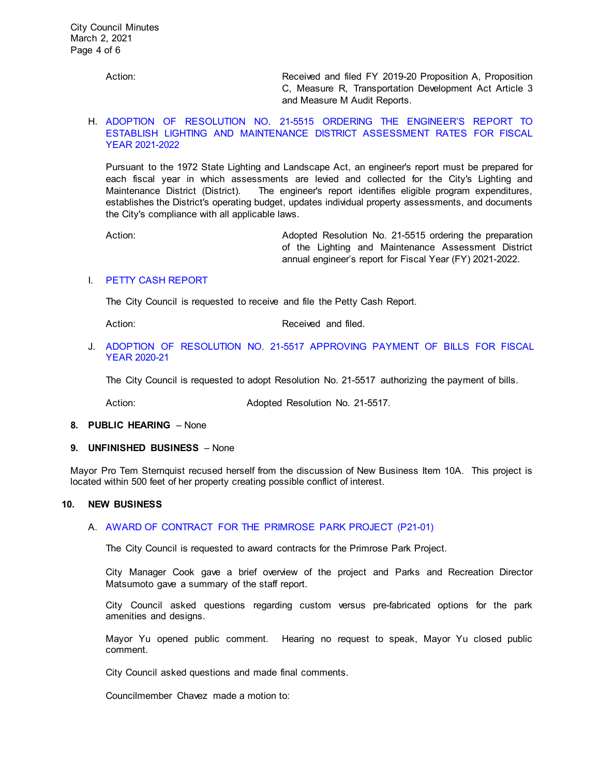Action: Received and filed FY 2019-20 Proposition A, Proposition C, Measure R, Transportation Development Act Article 3 and Measure M Audit Reports.

## H. [ADOPTION OF RESOLUTION NO. 21-5515 ORDERING THE ENGINEER'S REPORT TO](https://ca-templecity.civicplus.com/DocumentCenter/View/15850/10_7H_LLD_Staff-Report-Order-of-LLD-Engineer-Report-FY2122_v2_final-2021-02-27_final-w-attachment)  [ESTABLISH LIGHTING AND MAINTENANCE DISTRICT ASSESSMENT RATES FOR FISCAL](https://ca-templecity.civicplus.com/DocumentCenter/View/15850/10_7H_LLD_Staff-Report-Order-of-LLD-Engineer-Report-FY2122_v2_final-2021-02-27_final-w-attachment)  [YEAR 2021-2022](https://ca-templecity.civicplus.com/DocumentCenter/View/15850/10_7H_LLD_Staff-Report-Order-of-LLD-Engineer-Report-FY2122_v2_final-2021-02-27_final-w-attachment)

Pursuant to the 1972 State Lighting and Landscape Act, an engineer's report must be prepared for each fiscal year in which assessments are levied and collected for the City's Lighting and Maintenance District (District). The engineer's report identifies eligible program expenditures, establishes the District's operating budget, updates individual property assessments, and documents the City's compliance with all applicable laws.

Action: Adopted Resolution No. 21-5515 ordering the preparation of the Lighting and Maintenance Assessment District annual engineer's report for Fiscal Year (FY) 2021-2022.

# I. [PETTY CASH REPORT](https://ca-templecity.civicplus.com/DocumentCenter/View/15840/11_7I_Petty-Cash-Report-3-2-21)

The City Council is requested to receive and file the Petty Cash Report.

Action: Received and filed.

# J. ADOPTION OF RESOLUTION NO. 21-5517 [APPROVING PAYMENT OF BILLS FOR FISCAL](https://ca-templecity.civicplus.com/DocumentCenter/View/15841/12_7J_Warrant-Register-30221_final-w-attachment)  [YEAR 2020-21](https://ca-templecity.civicplus.com/DocumentCenter/View/15841/12_7J_Warrant-Register-30221_final-w-attachment)

The City Council is requested to adopt Resolution No. 21-5517 authorizing the payment of bills.

Action: **Adopted Resolution No. 21-5517.** 

#### **8. PUBLIC HEARING** – None

#### **9. UNFINISHED BUSINESS** – None

Mayor Pro Tem Sternquist recused herself from the discussion of New Business Item 10A. This project is located within 500 feet of her property creating possible conflict of interest.

#### **10. NEW BUSINESS**

# A. AWARD OF CONTRACT FOR [THE PRIMROSE PARK PROJECT](https://ca-templecity.civicplus.com/DocumentCenter/View/15863/13_10A_Primrose-Park-Project_Award-of-Contract---final-w-attachments) (P21-01)

The City Council is requested to award contracts for the Primrose Park Project.

City Manager Cook gave a brief overview of the project and Parks and Recreation Director Matsumoto gave a summary of the staff report.

City Council asked questions regarding custom versus pre-fabricated options for the park amenities and designs.

Mayor Yu opened public comment. Hearing no request to speak, Mayor Yu closed public comment.

City Council asked questions and made final comments.

Councilmember Chavez made a motion to: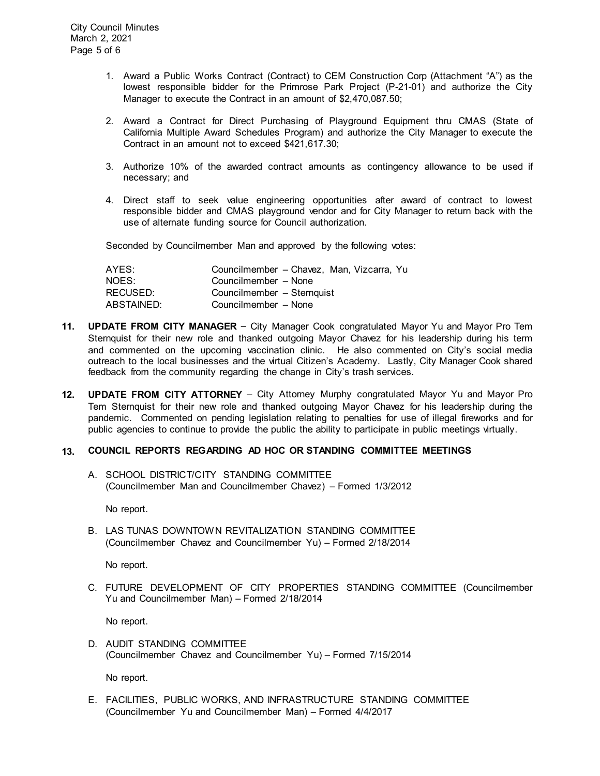- 1. Award a Public Works Contract (Contract) to CEM Construction Corp (Attachment "A") as the lowest responsible bidder for the Primrose Park Project (P-21-01) and authorize the City Manager to execute the Contract in an amount of \$2,470,087.50;
- 2. Award a Contract for Direct Purchasing of Playground Equipment thru CMAS (State of California Multiple Award Schedules Program) and authorize the City Manager to execute the Contract in an amount not to exceed \$421,617.30;
- 3. Authorize 10% of the awarded contract amounts as contingency allowance to be used if necessary; and
- 4. Direct staff to seek value engineering opportunities after award of contract to lowest responsible bidder and CMAS playground vendor and for City Manager to return back with the use of alternate funding source for Council authorization.

Seconded by Councilmember Man and approved by the following votes:

| Councilmember – Chavez, Man, Vizcarra, Yu |
|-------------------------------------------|
| Councilmember - None                      |
| Councilmember - Sternquist                |
| Councilmember - None                      |
|                                           |

- **11. UPDATE FROM CITY MANAGER** City Manager Cook congratulated Mayor Yu and Mayor Pro Tem Sternquist for their new role and thanked outgoing Mayor Chavez for his leadership during his term and commented on the upcoming vaccination clinic. He also commented on City's social media outreach to the local businesses and the virtual Citizen's Academy. Lastly, City Manager Cook shared feedback from the community regarding the change in City's trash services.
- **12. UPDATE FROM CITY ATTORNEY** City Attorney Murphy congratulated Mayor Yu and Mayor Pro Tem Sternquist for their new role and thanked outgoing Mayor Chavez for his leadership during the pandemic. Commented on pending legislation relating to penalties for use of illegal fireworks and for public agencies to continue to provide the public the ability to participate in public meetings virtually.

#### **13. COUNCIL REPORTS REGARDING AD HOC OR STANDING COMMITTEE MEETINGS**

A. SCHOOL DISTRICT/CITY STANDING COMMITTEE (Councilmember Man and Councilmember Chavez) – Formed 1/3/2012

No report.

B. LAS TUNAS DOWNTOWN REVITALIZATION STANDING COMMITTEE (Councilmember Chavez and Councilmember Yu) – Formed 2/18/2014

No report.

C. FUTURE DEVELOPMENT OF CITY PROPERTIES STANDING COMMITTEE (Councilmember Yu and Councilmember Man) – Formed 2/18/2014

No report.

D. AUDIT STANDING COMMITTEE (Councilmember Chavez and Councilmember Yu) – Formed 7/15/2014

No report.

E. FACILITIES, PUBLIC WORKS, AND INFRASTRUCTURE STANDING COMMITTEE (Councilmember Yu and Councilmember Man) – Formed 4/4/2017